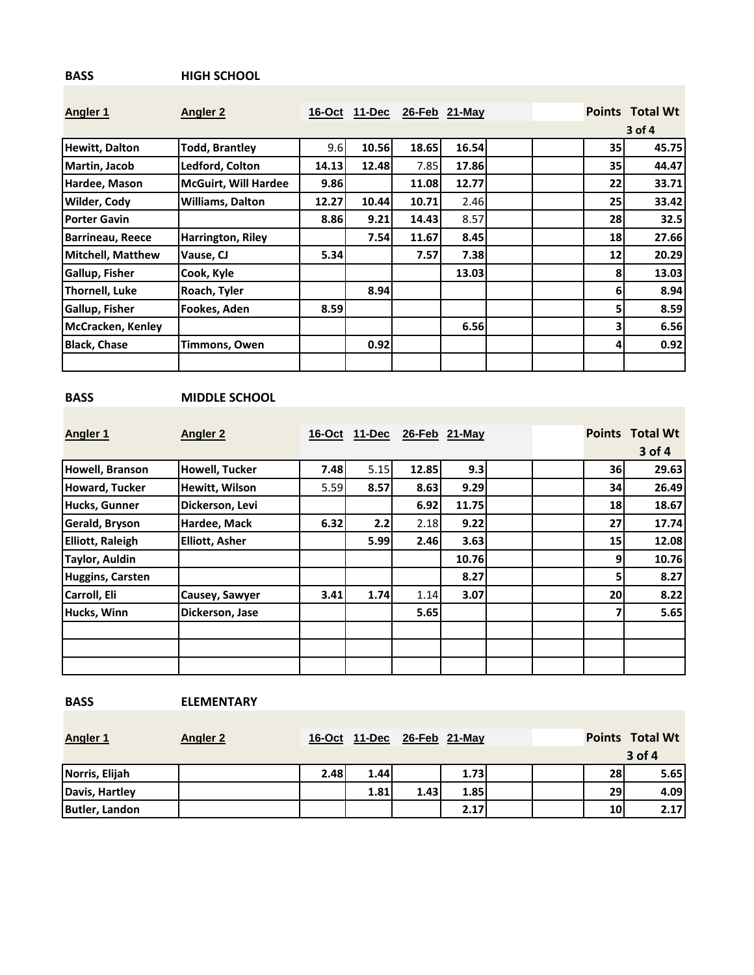## **BASS HIGH SCHOOL**

| <b>Angler 1</b>         | <b>Angler 2</b>             | 16-Oct | 11-Dec |       | 26-Feb 21-May |  | <b>Points</b> | <b>Total Wt</b> |
|-------------------------|-----------------------------|--------|--------|-------|---------------|--|---------------|-----------------|
|                         |                             |        |        |       |               |  |               | $3$ of 4        |
| <b>Hewitt, Dalton</b>   | <b>Todd, Brantley</b>       | 9.6    | 10.56  | 18.65 | 16.54         |  | 35            | 45.75           |
| Martin, Jacob           | Ledford, Colton             | 14.13  | 12.48  | 7.85  | 17.86         |  | 35            | 44.47           |
| Hardee, Mason           | <b>McGuirt, Will Hardee</b> | 9.86   |        | 11.08 | 12.77         |  | 22            | 33.71           |
| <b>Wilder, Cody</b>     | <b>Williams, Dalton</b>     | 12.27  | 10.44  | 10.71 | 2.46          |  | 25            | 33.42           |
| <b>Porter Gavin</b>     |                             | 8.86   | 9.21   | 14.43 | 8.57          |  | 28            | 32.5            |
| <b>Barrineau, Reece</b> | Harrington, Riley           |        | 7.54   | 11.67 | 8.45          |  | 18            | 27.66           |
| Mitchell, Matthew       | Vause, CJ                   | 5.34   |        | 7.57  | 7.38          |  | 12            | 20.29           |
| <b>Gallup, Fisher</b>   | Cook, Kyle                  |        |        |       | 13.03         |  | 8             | 13.03           |
| <b>Thornell, Luke</b>   | Roach, Tyler                |        | 8.94   |       |               |  | 6             | 8.94            |
| Gallup, Fisher          | Fookes, Aden                | 8.59   |        |       |               |  | 5             | 8.59            |
| McCracken, Kenley       |                             |        |        |       | 6.56          |  | 3             | 6.56            |
| <b>Black, Chase</b>     | Timmons, Owen               |        | 0.92   |       |               |  | 4             | 0.92            |
|                         |                             |        |        |       |               |  |               |                 |

## **BASS MIDDLE SCHOOL**

| <b>Angler 1</b>         | <b>Angler 2</b>       | $16$ -Oct | $11-Dec$ |       | 26-Feb 21-May | <b>Points</b>   | <b>Total Wt</b> |
|-------------------------|-----------------------|-----------|----------|-------|---------------|-----------------|-----------------|
|                         |                       |           |          |       |               |                 | 3 of 4          |
| Howell, Branson         | <b>Howell, Tucker</b> | 7.48      | 5.15     | 12.85 | 9.3           | 36              | 29.63           |
| <b>Howard, Tucker</b>   | Hewitt, Wilson        | 5.59      | 8.57     | 8.63  | 9.29          | 34              | 26.49           |
| Hucks, Gunner           | Dickerson, Levi       |           |          | 6.92  | 11.75         | 18              | 18.67           |
| Gerald, Bryson          | Hardee, Mack          | 6.32      | 2.2      | 2.18  | 9.22          | 27              | 17.74           |
| <b>Elliott, Raleigh</b> | <b>Elliott, Asher</b> |           | 5.99     | 2.46  | 3.63          | 15 <sup>1</sup> | 12.08           |
| <b>Taylor, Auldin</b>   |                       |           |          |       | 10.76         | 9               | 10.76           |
| <b>Huggins, Carsten</b> |                       |           |          |       | 8.27          | 5               | 8.27            |
| Carroll, Eli            | Causey, Sawyer        | 3.41      | 1.74     | 1.14  | 3.07          | 20 <sub>l</sub> | 8.22            |
| Hucks, Winn             | Dickerson, Jase       |           |          | 5.65  |               | 7               | 5.65            |
|                         |                       |           |          |       |               |                 |                 |
|                         |                       |           |          |       |               |                 |                 |
|                         |                       |           |          |       |               |                 |                 |

**BASS ELEMENTARY**

| <b>Angler 1</b> | <b>Angler 2</b> |      | 16-Oct 11-Dec | 26-Feb 21-May |      |    | <b>Total Wt</b><br><b>Points</b> |  |
|-----------------|-----------------|------|---------------|---------------|------|----|----------------------------------|--|
|                 |                 |      |               |               |      |    | $3$ of 4                         |  |
| Norris, Elijah  |                 | 2.48 | 1.44          |               | 1.73 | 28 | 5.65                             |  |
| Davis, Hartley  |                 |      | 1.81          | 1.43          | 1.85 | 29 | 4.09                             |  |
| Butler, Landon  |                 |      |               |               | 2.17 | 10 | 2.17                             |  |